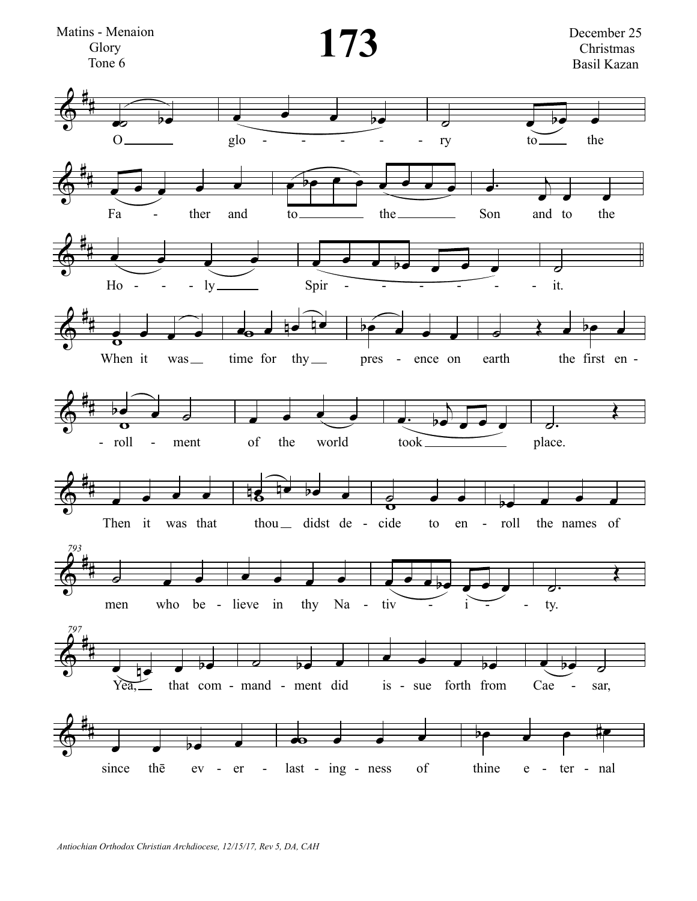

Antiochian Orthodox Christian Archdiocese, 12/15/17, Rev 5, DA, CAH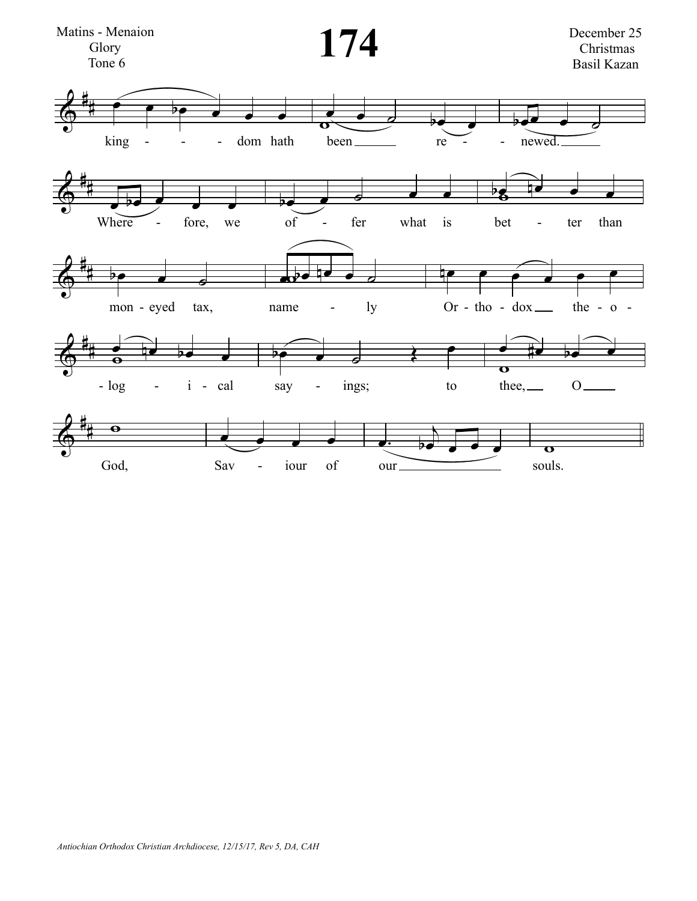